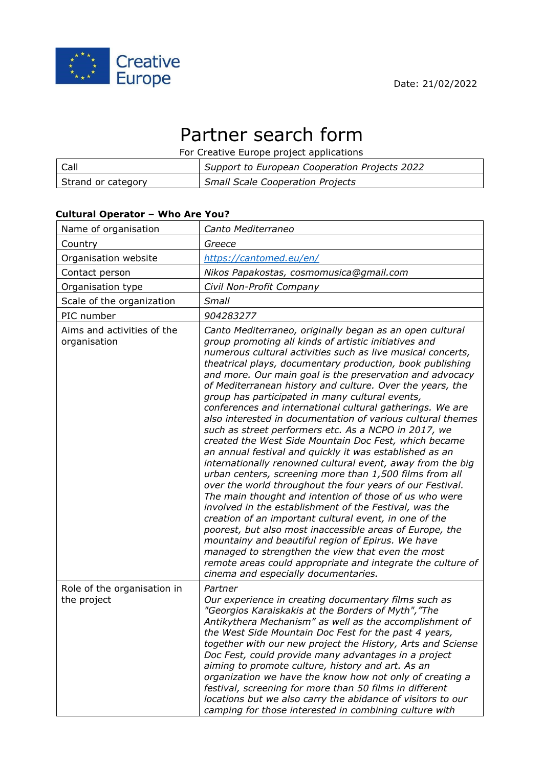

# Partner search form

For Creative Europe project applications

| Call               | Support to European Cooperation Projects 2022 |
|--------------------|-----------------------------------------------|
| Strand or category | Small Scale Cooperation Projects              |

## **Cultural Operator – Who Are You?**

| Name of organisation                       | Canto Mediterraneo                                                                                                                                                                                                                                                                                                                                                                                                                                                                                                                                                                                                                                                                                                                                                                                                                                                                                                                                                                                                                                                                                                                                                                                                                                                                                                                                                                 |
|--------------------------------------------|------------------------------------------------------------------------------------------------------------------------------------------------------------------------------------------------------------------------------------------------------------------------------------------------------------------------------------------------------------------------------------------------------------------------------------------------------------------------------------------------------------------------------------------------------------------------------------------------------------------------------------------------------------------------------------------------------------------------------------------------------------------------------------------------------------------------------------------------------------------------------------------------------------------------------------------------------------------------------------------------------------------------------------------------------------------------------------------------------------------------------------------------------------------------------------------------------------------------------------------------------------------------------------------------------------------------------------------------------------------------------------|
| Country                                    | Greece                                                                                                                                                                                                                                                                                                                                                                                                                                                                                                                                                                                                                                                                                                                                                                                                                                                                                                                                                                                                                                                                                                                                                                                                                                                                                                                                                                             |
| Organisation website                       | https://cantomed.eu/en/                                                                                                                                                                                                                                                                                                                                                                                                                                                                                                                                                                                                                                                                                                                                                                                                                                                                                                                                                                                                                                                                                                                                                                                                                                                                                                                                                            |
| Contact person                             | Nikos Papakostas, cosmomusica@gmail.com                                                                                                                                                                                                                                                                                                                                                                                                                                                                                                                                                                                                                                                                                                                                                                                                                                                                                                                                                                                                                                                                                                                                                                                                                                                                                                                                            |
| Organisation type                          | Civil Non-Profit Company                                                                                                                                                                                                                                                                                                                                                                                                                                                                                                                                                                                                                                                                                                                                                                                                                                                                                                                                                                                                                                                                                                                                                                                                                                                                                                                                                           |
| Scale of the organization                  | Small                                                                                                                                                                                                                                                                                                                                                                                                                                                                                                                                                                                                                                                                                                                                                                                                                                                                                                                                                                                                                                                                                                                                                                                                                                                                                                                                                                              |
| PIC number                                 | 904283277                                                                                                                                                                                                                                                                                                                                                                                                                                                                                                                                                                                                                                                                                                                                                                                                                                                                                                                                                                                                                                                                                                                                                                                                                                                                                                                                                                          |
| Aims and activities of the<br>organisation | Canto Mediterraneo, originally began as an open cultural<br>group promoting all kinds of artistic initiatives and<br>numerous cultural activities such as live musical concerts,<br>theatrical plays, documentary production, book publishing<br>and more. Our main goal is the preservation and advocacy<br>of Mediterranean history and culture. Over the years, the<br>group has participated in many cultural events,<br>conferences and international cultural gatherings. We are<br>also interested in documentation of various cultural themes<br>such as street performers etc. As a NCPO in 2017, we<br>created the West Side Mountain Doc Fest, which became<br>an annual festival and quickly it was established as an<br>internationally renowned cultural event, away from the big<br>urban centers, screening more than 1,500 films from all<br>over the world throughout the four years of our Festival.<br>The main thought and intention of those of us who were<br>involved in the establishment of the Festival, was the<br>creation of an important cultural event, in one of the<br>poorest, but also most inaccessible areas of Europe, the<br>mountainy and beautiful region of Epirus. We have<br>managed to strengthen the view that even the most<br>remote areas could appropriate and integrate the culture of<br>cinema and especially documentaries. |
| Role of the organisation in<br>the project | Partner<br>Our experience in creating documentary films such as<br>"Georgios Karaiskakis at the Borders of Myth", "The<br>Antikythera Mechanism" as well as the accomplishment of<br>the West Side Mountain Doc Fest for the past 4 years,<br>together with our new project the History, Arts and Sciense<br>Doc Fest, could provide many advantages in a project<br>aiming to promote culture, history and art. As an<br>organization we have the know how not only of creating a<br>festival, screening for more than 50 films in different<br>locations but we also carry the abidance of visitors to our<br>camping for those interested in combining culture with                                                                                                                                                                                                                                                                                                                                                                                                                                                                                                                                                                                                                                                                                                             |